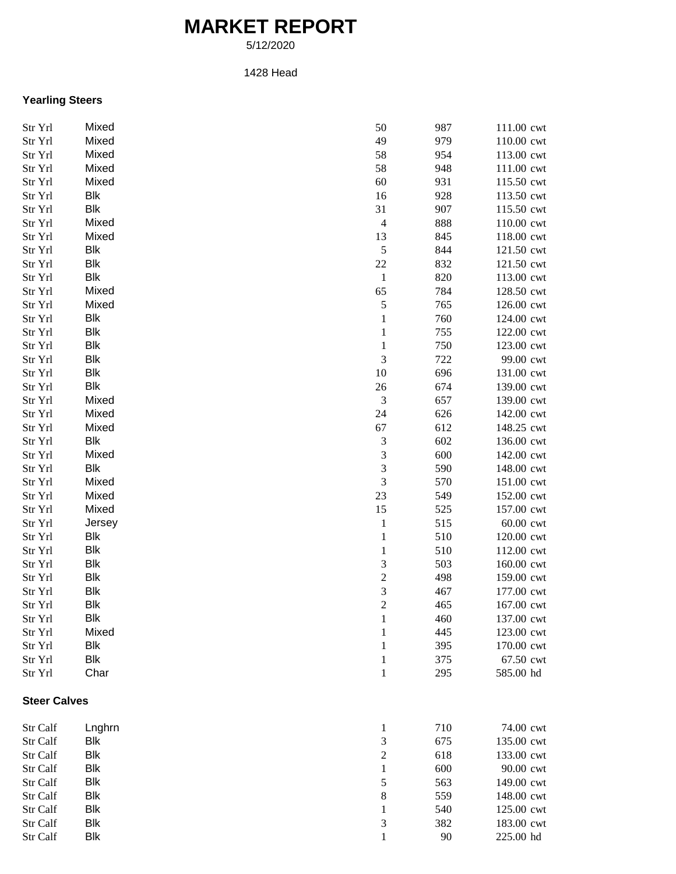# **MARKET REPORT**

5/12/2020

#### 1428 Head

### **Yearling Steers**

| Str Yrl             | Mixed      | 50                          | 987 | 111.00 cwt |
|---------------------|------------|-----------------------------|-----|------------|
| Str Yrl             | Mixed      | 49                          | 979 | 110.00 cwt |
| Str Yrl             | Mixed      | 58                          | 954 | 113.00 cwt |
| Str Yrl             | Mixed      | 58                          | 948 | 111.00 cwt |
| Str Yrl             | Mixed      | 60                          | 931 | 115.50 cwt |
| Str Yrl             | Blk        | 16                          | 928 | 113.50 cwt |
| Str Yrl             | Blk        | 31                          | 907 | 115.50 cwt |
| Str Yrl             | Mixed      | $\overline{4}$              | 888 | 110.00 cwt |
| Str Yrl             | Mixed      | 13                          | 845 | 118.00 cwt |
| Str Yrl             | Blk        | $\sqrt{5}$                  | 844 | 121.50 cwt |
| Str Yrl             | Blk        | 22                          | 832 | 121.50 cwt |
| Str Yrl             | Blk        | $\mathbf{1}$                | 820 | 113.00 cwt |
| Str Yrl             | Mixed      | 65                          | 784 | 128.50 cwt |
|                     | Mixed      | $\sqrt{5}$                  | 765 | 126.00 cwt |
| Str Yrl             | Blk        |                             |     |            |
| Str Yrl             |            | $\mathbf 1$                 | 760 | 124.00 cwt |
| Str Yrl             | Blk        | $\mathbf 1$                 | 755 | 122.00 cwt |
| Str Yrl             | <b>Blk</b> | $\mathbf 1$                 | 750 | 123.00 cwt |
| Str Yrl             | <b>Blk</b> | 3                           | 722 | 99.00 cwt  |
| Str Yrl             | <b>Blk</b> | 10                          | 696 | 131.00 cwt |
| Str Yrl             | <b>Blk</b> | $26\,$                      | 674 | 139.00 cwt |
| Str Yrl             | Mixed      | $\mathfrak{Z}$              | 657 | 139.00 cwt |
| Str Yrl             | Mixed      | 24                          | 626 | 142.00 cwt |
| Str Yrl             | Mixed      | 67                          | 612 | 148.25 cwt |
| Str Yrl             | Blk        | $\mathfrak{Z}$              | 602 | 136.00 cwt |
| Str Yrl             | Mixed      | $\ensuremath{\mathfrak{Z}}$ | 600 | 142.00 cwt |
| Str Yrl             | Blk        | 3                           | 590 | 148.00 cwt |
| Str Yrl             | Mixed      | 3                           | 570 | 151.00 cwt |
| Str Yrl             | Mixed      | 23                          | 549 | 152.00 cwt |
| Str Yrl             | Mixed      | 15                          | 525 | 157.00 cwt |
| Str Yrl             | Jersey     | $\mathbf{1}$                | 515 | 60.00 cwt  |
| Str Yrl             | Blk        | $\mathbf{1}$                | 510 | 120.00 cwt |
| Str Yrl             | Blk        | $\,1\,$                     | 510 | 112.00 cwt |
| Str Yrl             | <b>Blk</b> | $\ensuremath{\mathfrak{Z}}$ | 503 | 160.00 cwt |
| Str Yrl             | <b>Blk</b> | $\sqrt{2}$                  | 498 | 159.00 cwt |
| Str Yrl             | <b>Blk</b> | 3                           | 467 | 177.00 cwt |
| Str Yrl             | <b>Blk</b> | $\overline{c}$              | 465 | 167.00 cwt |
| Str Yrl             | <b>Blk</b> | 1                           | 460 | 137.00 cwt |
| Str Yrl             | Mixed      | 1                           | 445 | 123.00 cwt |
| Str Yrl             | <b>Blk</b> | $\mathbf{1}$                | 395 | 170.00 cwt |
| Str Yrl             | <b>Blk</b> | $\mathbf{1}$                | 375 | 67.50 cwt  |
| Str Yrl             | Char       | $\mathbf{1}$                | 295 | 585.00 hd  |
| <b>Steer Calves</b> |            |                             |     |            |
| Str Calf            | Lnghrn     | $\mathbf{1}$                | 710 | 74.00 cwt  |
| Str Calf            | Blk        | 3                           | 675 |            |
|                     | <b>Blk</b> |                             |     | 135.00 cwt |
| Str Calf            |            | $\overline{c}$              | 618 | 133.00 cwt |
| Str Calf            | <b>Blk</b> | $\,1\,$                     | 600 | 90.00 cwt  |
| Str Calf            | Blk        | 5                           | 563 | 149.00 cwt |
| Str Calf            | <b>Blk</b> | 8                           | 559 | 148.00 cwt |
| Str Calf            | <b>Blk</b> | 1                           | 540 | 125.00 cwt |

Str Calf Blk 3 382 183.00 cwt Str Calf Blk 225.00 hd

382 183.00 cwt 90 225.00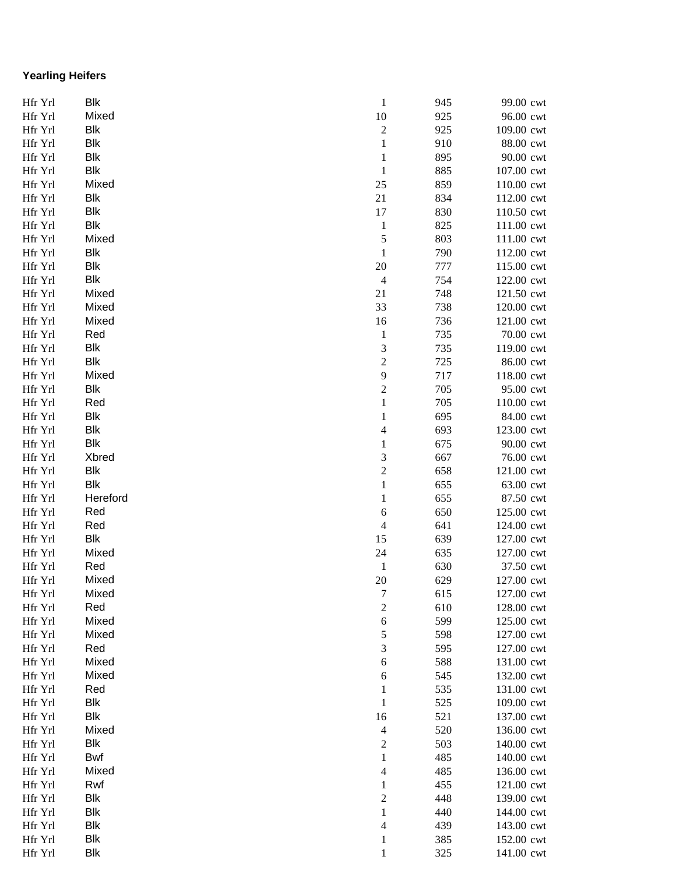## **Yearling Heifers**

| Hfr Yrl | <b>Blk</b> | $\mathbf{1}$            | 945 | 99.00 cwt  |
|---------|------------|-------------------------|-----|------------|
| Hfr Yrl | Mixed      | 10                      | 925 | 96.00 cwt  |
| Hfr Yrl | Blk        | $\sqrt{2}$              | 925 | 109.00 cwt |
| Hfr Yrl | <b>Blk</b> | $\mathbf{1}$            | 910 | 88.00 cwt  |
| Hfr Yrl | <b>Blk</b> | $\mathbf{1}$            | 895 | 90.00 cwt  |
| Hfr Yrl | <b>Blk</b> | $\mathbf{1}$            | 885 | 107.00 cwt |
| Hfr Yrl | Mixed      | 25                      | 859 | 110.00 cwt |
| Hfr Yrl | Blk        | 21                      | 834 | 112.00 cwt |
| Hfr Yrl | Blk        | 17                      | 830 | 110.50 cwt |
| Hfr Yrl | Blk        | $\mathbf{1}$            | 825 | 111.00 cwt |
| Hfr Yrl | Mixed      | 5                       | 803 | 111.00 cwt |
| Hfr Yrl | <b>Blk</b> | $\,1\,$                 | 790 | 112.00 cwt |
| Hfr Yrl | <b>Blk</b> | 20                      | 777 | 115.00 cwt |
| Hfr Yrl | <b>Blk</b> | $\overline{4}$          | 754 | 122.00 cwt |
| Hfr Yrl | Mixed      | 21                      | 748 | 121.50 cwt |
| Hfr Yrl | Mixed      | 33                      | 738 | 120.00 cwt |
| Hfr Yrl | Mixed      | 16                      | 736 | 121.00 cwt |
| Hfr Yrl | Red        | $\mathbf{1}$            | 735 | 70.00 cwt  |
| Hfr Yrl | Blk        | $\mathfrak{Z}$          | 735 | 119.00 cwt |
| Hfr Yrl | Blk        | $\boldsymbol{2}$        | 725 | 86.00 cwt  |
| Hfr Yrl | Mixed      | 9                       | 717 | 118.00 cwt |
| Hfr Yrl | Blk        | $\boldsymbol{2}$        | 705 | 95.00 cwt  |
| Hfr Yrl | Red        | $\mathbf{1}$            | 705 | 110.00 cwt |
| Hfr Yrl | <b>Blk</b> | 1                       | 695 | 84.00 cwt  |
| Hfr Yrl | <b>Blk</b> | 4                       | 693 | 123.00 cwt |
| Hfr Yrl | <b>Blk</b> | $\mathbf{1}$            | 675 | 90.00 cwt  |
| Hfr Yrl | Xbred      | 3                       | 667 | 76.00 cwt  |
| Hfr Yrl | <b>Blk</b> | $\overline{c}$          | 658 | 121.00 cwt |
| Hfr Yrl | <b>Blk</b> | $\,1$                   | 655 | 63.00 cwt  |
| Hfr Yrl | Hereford   | $\mathbf{1}$            | 655 | 87.50 cwt  |
| Hfr Yrl | Red        | $\sqrt{6}$              | 650 | 125.00 cwt |
| Hfr Yrl | Red        | $\overline{\mathbf{4}}$ | 641 | 124.00 cwt |
| Hfr Yrl | <b>Blk</b> | 15                      | 639 | 127.00 cwt |
| Hfr Yrl | Mixed      | 24                      | 635 | 127.00 cwt |
| Hfr Yrl | Red        | $\mathbf{1}$            | 630 | 37.50 cwt  |
| Hfr Yrl | Mixed      | 20                      | 629 | 127.00 cwt |
| Hfr Yrl | Mixed      | 7                       | 615 | 127.00 cwt |
| Hfr Yrl | Red        | $\overline{c}$          | 610 | 128.00 cwt |
| Hfr Yrl | Mixed      | $\sqrt{6}$              | 599 | 125.00 cwt |
| Hfr Yrl | Mixed      | $\mathfrak s$           | 598 | 127.00 cwt |
| Hfr Yrl | Red        | $\mathfrak{Z}$          | 595 | 127.00 cwt |
| Hfr Yrl | Mixed      | $\sqrt{6}$              | 588 | 131.00 cwt |
| Hfr Yrl | Mixed      | $\sqrt{6}$              | 545 | 132.00 cwt |
| Hfr Yrl | Red        | $\mathbf 1$             | 535 | 131.00 cwt |
| Hfr Yrl | Blk        | $\,1$                   | 525 | 109.00 cwt |
| Hfr Yrl | Blk        | 16                      | 521 | 137.00 cwt |
| Hfr Yrl | Mixed      | $\overline{4}$          | 520 | 136.00 cwt |
| Hfr Yrl | <b>Blk</b> | $\overline{c}$          | 503 | 140.00 cwt |
| Hfr Yrl | Bwf        | $\mathbf{1}$            | 485 | 140.00 cwt |
| Hfr Yrl | Mixed      | $\overline{4}$          | 485 | 136.00 cwt |
| Hfr Yrl | Rwf        | $\mathbf{1}$            | 455 | 121.00 cwt |
| Hfr Yrl | Blk        | $\sqrt{2}$              | 448 | 139.00 cwt |
| Hfr Yrl | Blk        | $\mathbf{1}$            | 440 | 144.00 cwt |
| Hfr Yrl | Blk        | $\overline{4}$          | 439 | 143.00 cwt |
| Hfr Yrl | Blk        | 1                       | 385 | 152.00 cwt |
| Hfr Yrl | Blk        | $\mathbf 1$             | 325 | 141.00 cwt |
|         |            |                         |     |            |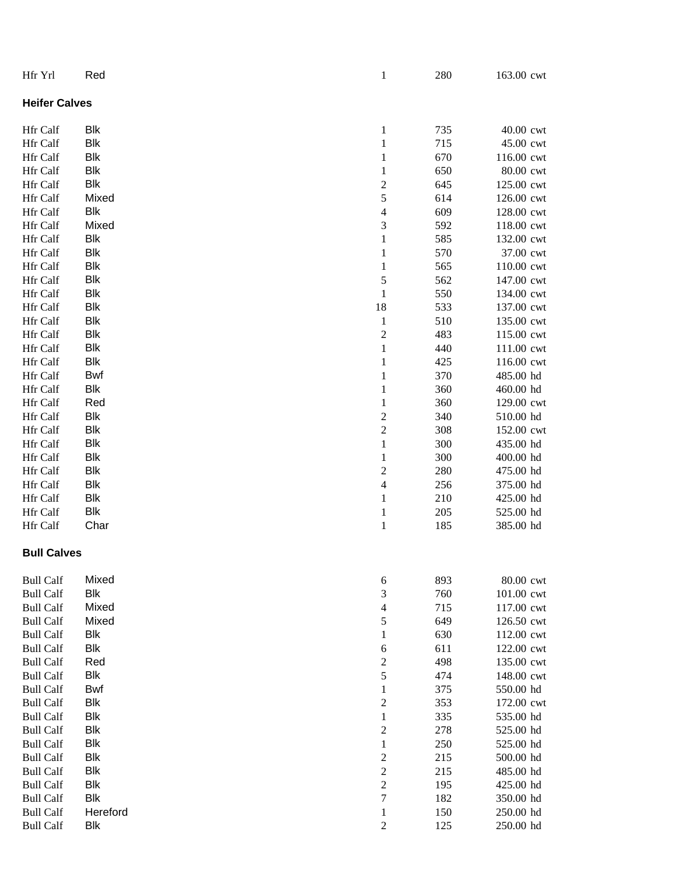| Hfr Yrl              | Red        | $\mathbf{1}$            | 280 | 163.00 cwt |  |  |
|----------------------|------------|-------------------------|-----|------------|--|--|
| <b>Heifer Calves</b> |            |                         |     |            |  |  |
| Hfr Calf             | <b>Blk</b> | $\mathbf{1}$            | 735 | 40.00 cwt  |  |  |
| Hfr Calf             | <b>Blk</b> | $\,1$                   | 715 | 45.00 cwt  |  |  |
| Hfr Calf             | <b>Blk</b> | $\mathbf{1}$            | 670 | 116.00 cwt |  |  |
| Hfr Calf             | <b>Blk</b> | $\mathbf{1}$            | 650 | 80.00 cwt  |  |  |
| Hfr Calf             | <b>Blk</b> | $\overline{c}$          | 645 | 125.00 cwt |  |  |
| Hfr Calf             | Mixed      | 5                       | 614 | 126.00 cwt |  |  |
| Hfr Calf             | <b>Blk</b> | $\overline{4}$          | 609 | 128.00 cwt |  |  |
| Hfr Calf             | Mixed      | 3                       | 592 | 118.00 cwt |  |  |
| Hfr Calf             | <b>Blk</b> | $\mathbf{1}$            | 585 | 132.00 cwt |  |  |
| Hfr Calf             | <b>Blk</b> | 1                       | 570 | 37.00 cwt  |  |  |
| Hfr Calf             | <b>Blk</b> | 1                       | 565 | 110.00 cwt |  |  |
| Hfr Calf             | <b>Blk</b> | 5                       | 562 | 147.00 cwt |  |  |
| Hfr Calf             | <b>Blk</b> | $\mathbf{1}$            | 550 | 134.00 cwt |  |  |
| Hfr Calf             | <b>Blk</b> | 18                      | 533 | 137.00 cwt |  |  |
| Hfr Calf             | <b>Blk</b> | $\mathbf{1}$            | 510 | 135.00 cwt |  |  |
| Hfr Calf             | <b>Blk</b> | $\overline{\mathbf{c}}$ | 483 | 115.00 cwt |  |  |
| Hfr Calf             | <b>Blk</b> | $\mathbf{1}$            | 440 | 111.00 cwt |  |  |
| Hfr Calf             | <b>Blk</b> | $\mathbf{1}$            | 425 | 116.00 cwt |  |  |
| Hfr Calf             | Bwf        | $\mathbf{1}$            | 370 | 485.00 hd  |  |  |
| Hfr Calf             | <b>Blk</b> | $\,1$                   | 360 | 460.00 hd  |  |  |
| Hfr Calf             | Red        | $\,1$                   | 360 | 129.00 cwt |  |  |
| Hfr Calf             | <b>Blk</b> | $\overline{\mathbf{c}}$ | 340 | 510.00 hd  |  |  |
| Hfr Calf             | <b>Blk</b> | $\overline{c}$          | 308 | 152.00 cwt |  |  |
| Hfr Calf             | <b>Blk</b> | $\,1$                   | 300 | 435.00 hd  |  |  |
| Hfr Calf             | <b>Blk</b> | $\mathbf{1}$            | 300 | 400.00 hd  |  |  |
| Hfr Calf             | <b>Blk</b> | $\overline{c}$          | 280 | 475.00 hd  |  |  |
| Hfr Calf             | <b>Blk</b> | 4                       | 256 | 375.00 hd  |  |  |
| Hfr Calf             | <b>Blk</b> | $\mathbf{1}$            | 210 | 425.00 hd  |  |  |
| Hfr Calf             | Blk        | $\mathbf{1}$            | 205 | 525.00 hd  |  |  |
| Hfr Calf             | Char       | $\mathbf{1}$            | 185 | 385.00 hd  |  |  |
| <b>Bull Calves</b>   |            |                         |     |            |  |  |
| <b>Bull Calf</b>     | Mixed      | 6                       | 893 | 80.00 cwt  |  |  |
| <b>Bull Calf</b>     | <b>Blk</b> | 3                       | 760 | 101.00 cwt |  |  |
| <b>Bull Calf</b>     | Mixed      | 4                       | 715 | 117.00 cwt |  |  |
| <b>Bull Calf</b>     | Mixed      | 5                       | 649 | 126.50 cwt |  |  |
| <b>Bull Calf</b>     | <b>Blk</b> | $\mathbf{1}$            | 630 | 112.00 cwt |  |  |
| <b>Bull Calf</b>     | <b>Blk</b> | 6                       | 611 | 122.00 cwt |  |  |
| <b>Bull Calf</b>     | Red        | $\overline{c}$          | 498 | 135.00 cwt |  |  |
| <b>Bull Calf</b>     | <b>Blk</b> | 5                       | 474 | 148.00 cwt |  |  |
| <b>Bull Calf</b>     | <b>Bwf</b> | $\mathbf 1$             | 375 | 550.00 hd  |  |  |
| <b>Bull Calf</b>     | <b>Blk</b> | $\overline{c}$          | 353 | 172.00 cwt |  |  |
| <b>Bull Calf</b>     | <b>Blk</b> | 1                       | 335 | 535.00 hd  |  |  |
| <b>Bull Calf</b>     | <b>Blk</b> | $\overline{c}$          | 278 | 525.00 hd  |  |  |
| <b>Bull Calf</b>     | <b>Blk</b> | 1                       | 250 | 525.00 hd  |  |  |
| <b>Bull Calf</b>     | <b>Blk</b> | $\overline{c}$          | 215 | 500.00 hd  |  |  |
| <b>Bull Calf</b>     | <b>Blk</b> | $\overline{c}$          | 215 | 485.00 hd  |  |  |
| <b>Bull Calf</b>     | <b>Blk</b> | $\overline{c}$          | 195 | 425.00 hd  |  |  |
| <b>Bull Calf</b>     | <b>Blk</b> | $\overline{7}$          | 182 | 350.00 hd  |  |  |
| <b>Bull Calf</b>     | Hereford   | $\mathbf{1}$            | 150 | 250.00 hd  |  |  |
| <b>Bull Calf</b>     | <b>Blk</b> | $\overline{c}$          | 125 | 250.00 hd  |  |  |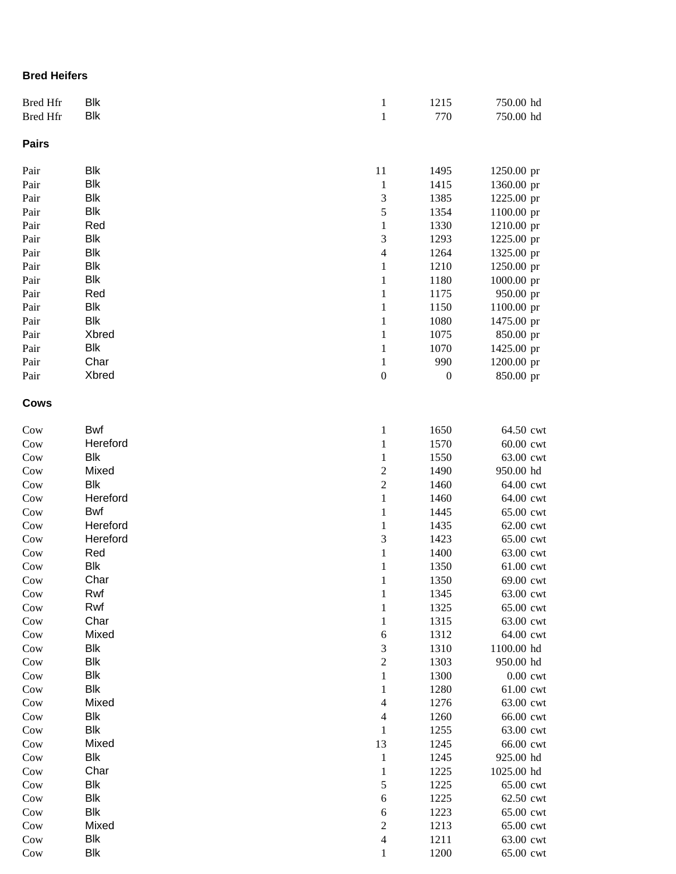#### **Bred Heifers**

| <b>Bred Hfr</b><br><b>Bred Hfr</b> | Blk<br><b>Blk</b> | $\mathbf{1}$<br>$\,1$ | 1215<br>770      | 750.00 hd<br>750.00 hd  |
|------------------------------------|-------------------|-----------------------|------------------|-------------------------|
|                                    |                   |                       |                  |                         |
| <b>Pairs</b>                       |                   |                       |                  |                         |
| Pair                               | <b>Blk</b>        | $11\,$                | 1495             | 1250.00 pr              |
| Pair                               | <b>Blk</b>        | $\mathbf{1}$          | 1415             | 1360.00 pr              |
| Pair                               | <b>Blk</b>        | 3                     | 1385             | 1225.00 pr              |
| Pair                               | <b>Blk</b>        | 5                     | 1354             | 1100.00 pr              |
| Pair                               | Red               | $\,1$                 | 1330             | 1210.00 pr              |
| Pair                               | <b>Blk</b>        | 3                     | 1293             | 1225.00 pr              |
| Pair                               | <b>Blk</b>        | $\overline{4}$        | 1264             | 1325.00 pr              |
| Pair                               | <b>Blk</b>        | $\,1$                 | 1210             | 1250.00 pr              |
| Pair                               | Blk               | $\mathbf{1}$          | 1180             | 1000.00 pr              |
| Pair                               | Red<br><b>Blk</b> | $\mathbf{1}$          | 1175             | 950.00 pr               |
| Pair                               | <b>Blk</b>        | $\,1$<br>$\mathbf{1}$ | 1150             | 1100.00 pr              |
| Pair<br>Pair                       | Xbred             | $\,1$                 | 1080<br>1075     | 1475.00 pr              |
| Pair                               | <b>Blk</b>        | $\,1$                 | 1070             | 850.00 pr<br>1425.00 pr |
| Pair                               | Char              | $\,1$                 | 990              | 1200.00 pr              |
| Pair                               | Xbred             | $\boldsymbol{0}$      | $\boldsymbol{0}$ | 850.00 pr               |
|                                    |                   |                       |                  |                         |
| <b>Cows</b>                        |                   |                       |                  |                         |
| Cow                                | <b>Bwf</b>        | $\mathbf{1}$          | 1650             | 64.50 cwt               |
| Cow                                | Hereford          | $\,1$                 | 1570             | 60.00 cwt               |
| $_{\text{Cow}}$                    | <b>Blk</b>        | $\,1$                 | 1550             | 63.00 cwt               |
| Cow                                | Mixed             | $\sqrt{2}$            | 1490             | 950.00 hd               |
| Cow                                | <b>Blk</b>        | $\overline{c}$        | 1460             | 64.00 cwt               |
| Cow                                | Hereford          | $\,1$                 | 1460             | 64.00 cwt               |
| Cow                                | Bwf               | $\mathbf{1}$          | 1445             | 65.00 cwt               |
| Cow                                | Hereford          | $\mathbf{1}$          | 1435             | 62.00 cwt               |
| Cow                                | Hereford          | 3                     | 1423             | 65.00 cwt               |
| Cow                                | Red               | $\,1$                 | 1400             | 63.00 cwt               |
| Cow                                | <b>Blk</b>        | $\mathbf{1}$          | 1350             | 61.00 cwt               |
| Cow                                | Char              | $\,1$                 | 1350             | 69.00 cwt               |
| Cow                                | Rwf               | $\mathbf{1}$          | 1345             | 63.00 cwt               |
| Cow                                | Rwf               | $\,1$                 | 1325             | 65.00 cwt               |
| Cow                                | Char              | $\mathbf{1}$          | 1315             | 63.00 cwt               |
| Cow                                | Mixed             | 6                     | 1312             | 64.00 cwt               |
| Cow                                | <b>Blk</b>        | 3                     | 1310             | 1100.00 hd              |
| Cow                                | <b>Blk</b>        | $\overline{2}$        | 1303             | 950.00 hd               |
| Cow                                | Blk               | $\mathbf{1}$          | 1300             | $0.00$ cwt              |
| Cow                                | Blk               | 1                     | 1280             | 61.00 cwt               |
| Cow                                | Mixed<br>Blk      | 4                     | 1276             | 63.00 cwt               |
| Cow                                | <b>Blk</b>        | 4                     | 1260             | 66.00 cwt               |
| Cow                                | Mixed             | 1<br>13               | 1255<br>1245     | 63.00 cwt               |
| Cow<br>Cow                         | Blk               | $\mathbf{1}$          | 1245             | 66.00 cwt<br>925.00 hd  |
| Cow                                | Char              | $\mathbf{1}$          | 1225             | 1025.00 hd              |
|                                    | Blk               | 5                     | 1225             | 65.00 cwt               |
| Cow<br>Cow                         | <b>Blk</b>        | $\sqrt{6}$            | 1225             | 62.50 cwt               |
| Cow                                | <b>Blk</b>        | 6                     | 1223             | 65.00 cwt               |
| Cow                                | Mixed             | $\sqrt{2}$            | 1213             | 65.00 cwt               |
| Cow                                | Blk               | $\overline{4}$        | 1211             | 63.00 cwt               |
| Cow                                | <b>Blk</b>        | $\mathbf{1}$          | 1200             | 65.00 cwt               |
|                                    |                   |                       |                  |                         |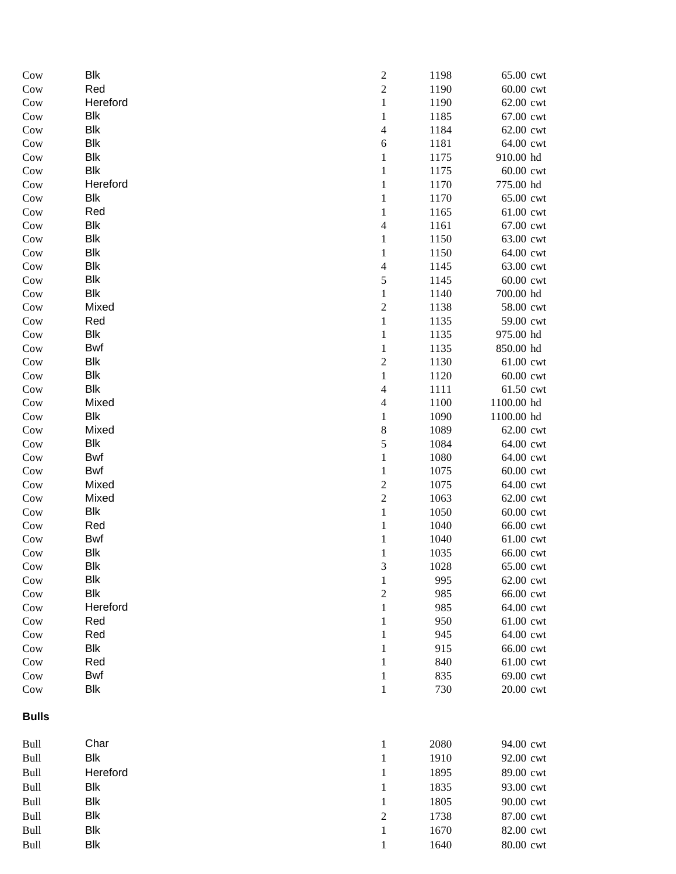| Cow                   | <b>Blk</b> | $\overline{\mathbf{c}}$  | 1198       | 65.00 cwt              |
|-----------------------|------------|--------------------------|------------|------------------------|
| Cow                   | Red        | $\overline{c}$           | 1190       | 60.00 cwt              |
| Cow                   | Hereford   | $\,1$                    | 1190       | 62.00 cwt              |
| Cow                   | <b>Blk</b> | $\mathbf{1}$             | 1185       | 67.00 cwt              |
| Cow                   | <b>Blk</b> | $\overline{\mathcal{L}}$ | 1184       | 62.00 cwt              |
| Cow                   | Blk        | 6                        | 1181       | 64.00 cwt              |
| Cow                   | Blk        | 1                        | 1175       | 910.00 hd              |
| Cow                   | <b>Blk</b> | $\mathbf{1}$             | 1175       | 60.00 cwt              |
| Cow                   | Hereford   | 1                        | 1170       | 775.00 hd              |
| Cow                   | Blk        | $\mathbf{1}$             | 1170       | 65.00 cwt              |
| Cow                   | Red        | $\mathbf{1}$             | 1165       | 61.00 cwt              |
| Cow                   | Blk        | $\overline{\mathcal{L}}$ | 1161       | 67.00 cwt              |
| Cow                   | <b>Blk</b> | $\,1$                    | 1150       | 63.00 cwt              |
| Cow                   | <b>Blk</b> | $\mathbf{1}$             | 1150       | 64.00 cwt              |
| Cow                   | <b>Blk</b> | $\overline{4}$           | 1145       | 63.00 cwt              |
| Cow                   | <b>Blk</b> | 5                        | 1145       | 60.00 cwt              |
| Cow                   | <b>Blk</b> | $\,1$                    | 1140       | 700.00 hd              |
| Cow                   | Mixed      | $\overline{c}$           | 1138       | 58.00 cwt              |
| Cow                   | Red        | $\,1$                    | 1135       | 59.00 cwt              |
| Cow                   | <b>Blk</b> | $\,1$                    | 1135       | 975.00 hd              |
| Cow                   | Bwf        | $\mathbf{1}$             | 1135       | 850.00 hd              |
| Cow                   | Blk        | $\overline{c}$           | 1130       | 61.00 cwt              |
| Cow                   | Blk        | $\mathbf{1}$             | 1120       | 60.00 cwt              |
| Cow                   | <b>Blk</b> | $\overline{4}$           | 1111       | 61.50 cwt              |
| Cow                   | Mixed      | $\overline{\mathcal{L}}$ | 1100       | 1100.00 hd             |
| Cow                   | <b>Blk</b> | $\mathbf{1}$             | 1090       | 1100.00 hd             |
| Cow                   | Mixed      | 8                        | 1089       | 62.00 cwt              |
| Cow                   | <b>Blk</b> | 5                        | 1084       | 64.00 cwt              |
| Cow                   | Bwf        | $\,1$                    | 1080       | 64.00 cwt              |
| Cow                   | Bwf        | $\,1$                    | 1075       | 60.00 cwt              |
| Cow                   | Mixed      | $\overline{c}$           | 1075       | 64.00 cwt              |
| Cow                   | Mixed      | $\overline{c}$           | 1063       | 62.00 cwt              |
| Cow                   | <b>Blk</b> | $\mathbf{1}$             | 1050       | 60.00 cwt              |
| Cow                   | Red        | $\,1$                    | 1040       | 66.00 cwt              |
| Cow                   | Bwf        | $\mathbf{1}$             | 1040       | 61.00 cwt              |
| Cow                   | <b>Blk</b> | $\mathbf{1}$             | 1035       | 66.00 cwt              |
| Cow                   | Blk        | 3                        | 1028       | 65.00 cwt              |
| Cow                   | <b>Blk</b> | $\mathbf{1}$             | 995        | 62.00 cwt              |
| Cow                   | <b>Blk</b> | $\overline{c}$           | 985        | 66.00 cwt              |
| Cow                   | Hereford   | 1                        | 985        | 64.00 cwt              |
| Cow                   | Red        | 1                        | 950        | 61.00 cwt              |
| Cow                   | Red<br>Blk | 1                        | 945        | 64.00 cwt              |
| Cow                   | Red        | 1                        | 915<br>840 | 66.00 cwt              |
| Cow                   | Bwf        | 1                        |            | 61.00 cwt              |
| Cow<br>Cow            | Blk        | 1<br>$\,1$               | 835<br>730 | 69.00 cwt<br>20.00 cwt |
| <b>Bulls</b>          |            |                          |            |                        |
|                       |            |                          |            |                        |
| Bull                  | Char       | $\mathbf{1}$             | 2080       | 94.00 cwt              |
| $\operatorname{Bulk}$ | <b>Blk</b> | $\mathbf{1}$             | 1910       | 92.00 cwt              |
| <b>Bull</b>           | Hereford   | $\mathbf{1}$             | 1895       | 89.00 cwt              |
| <b>Bull</b>           | <b>Blk</b> | 1                        | 1835       | 93.00 cwt              |
| Bull                  | <b>Blk</b> | $\mathbf{1}$             | 1805       | 90.00 cwt              |
| <b>Bull</b>           | <b>Blk</b> | $\overline{c}$           | 1738       | 87.00 cwt              |
| <b>Bull</b>           | <b>Blk</b> | $\mathbf{1}$             | 1670       | 82.00 cwt              |
| <b>Bull</b>           | <b>Blk</b> | $\mathbf{1}$             | 1640       | 80.00 cwt              |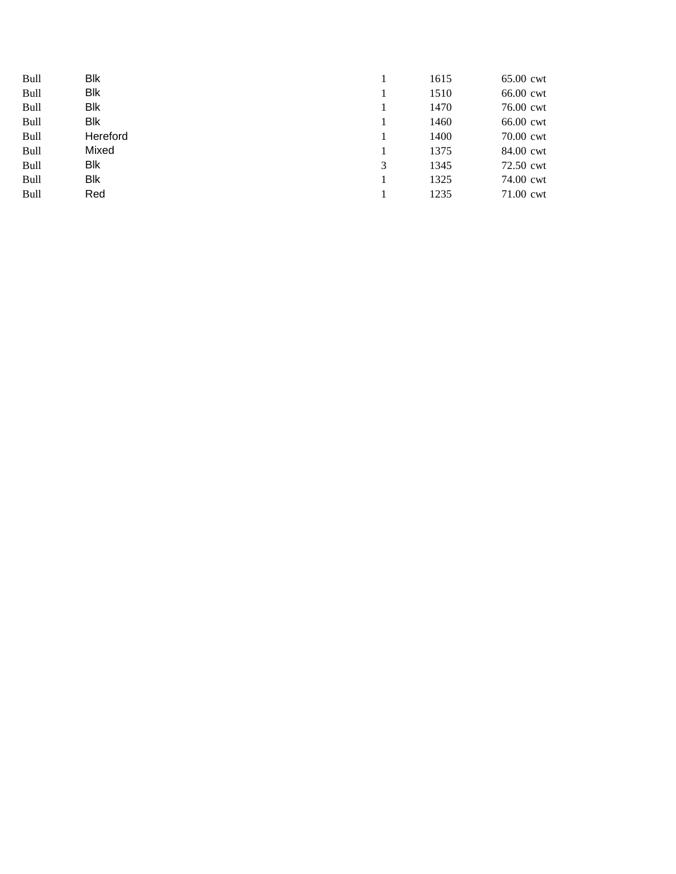| Bull | <b>Blk</b> |   | 1615 | 65.00 cwt |
|------|------------|---|------|-----------|
| Bull | <b>Blk</b> |   | 1510 | 66.00 cwt |
| Bull | <b>Blk</b> |   | 1470 | 76.00 cwt |
| Bull | Blk        |   | 1460 | 66.00 cwt |
| Bull | Hereford   |   | 1400 | 70.00 cwt |
| Bull | Mixed      |   | 1375 | 84.00 cwt |
| Bull | Blk        | 3 | 1345 | 72.50 cwt |
| Bull | Blk        |   | 1325 | 74.00 cwt |
| Bull | Red        |   | 1235 | 71.00 cwt |